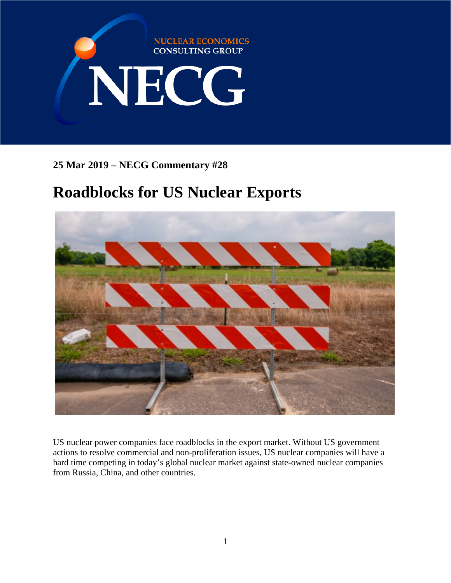

**25 Mar 2019 – NECG Commentary #28**

## **Roadblocks for US Nuclear Exports**



US nuclear power companies face roadblocks in the export market. Without US government actions to resolve commercial and non-proliferation issues, US nuclear companies will have a hard time competing in today's global nuclear market against state-owned nuclear companies from Russia, China, and other countries.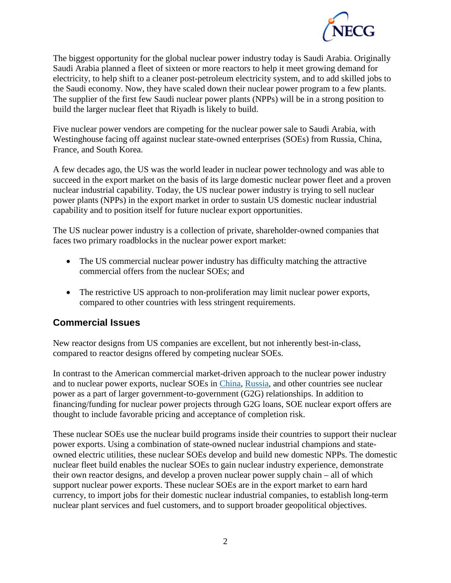

The biggest opportunity for the global nuclear power industry today is Saudi Arabia. Originally Saudi Arabia planned a fleet of sixteen or more reactors to help it meet growing demand for electricity, to help shift to a cleaner post-petroleum electricity system, and to add skilled jobs to the Saudi economy. Now, they have scaled down their nuclear power program to a few plants. The supplier of the first few Saudi nuclear power plants (NPPs) will be in a strong position to build the larger nuclear fleet that Riyadh is likely to build.

Five nuclear power vendors are competing for the nuclear power sale to Saudi Arabia, with Westinghouse facing off against nuclear state-owned enterprises (SOEs) from Russia, China, France, and South Korea.

A few decades ago, the US was the world leader in nuclear power technology and was able to succeed in the export market on the basis of its large domestic nuclear power fleet and a proven nuclear industrial capability. Today, the US nuclear power industry is trying to sell nuclear power plants (NPPs) in the export market in order to sustain US domestic nuclear industrial capability and to position itself for future nuclear export opportunities.

The US nuclear power industry is a collection of private, shareholder-owned companies that faces two primary roadblocks in the nuclear power export market:

- The US commercial nuclear power industry has difficulty matching the attractive commercial offers from the nuclear SOEs; and
- The restrictive US approach to non-proliferation may limit nuclear power exports, compared to other countries with less stringent requirements.

## **Commercial Issues**

New reactor designs from US companies are excellent, but not inherently best-in-class, compared to reactor designs offered by competing nuclear SOEs.

In contrast to the American commercial market-driven approach to the nuclear power industry and to nuclear power exports, nuclear SOEs in [China,](https://www.reuters.com/article/us-china-nuclear-law/china-drafts-new-nuclear-energy-law-focus-on-international-market-idUSKCN1M2024) [Russia,](http://tass.com/economy/1035072) and other countries see nuclear power as a part of larger government-to-government (G2G) relationships. In addition to financing/funding for nuclear power projects through G2G loans, SOE nuclear export offers are thought to include favorable pricing and acceptance of completion risk.

These nuclear SOEs use the nuclear build programs inside their countries to support their nuclear power exports. Using a combination of state-owned nuclear industrial champions and stateowned electric utilities, these nuclear SOEs develop and build new domestic NPPs. The domestic nuclear fleet build enables the nuclear SOEs to gain nuclear industry experience, demonstrate their own reactor designs, and develop a proven nuclear power supply chain – all of which support nuclear power exports. These nuclear SOEs are in the export market to earn hard currency, to import jobs for their domestic nuclear industrial companies, to establish long-term nuclear plant services and fuel customers, and to support broader geopolitical objectives.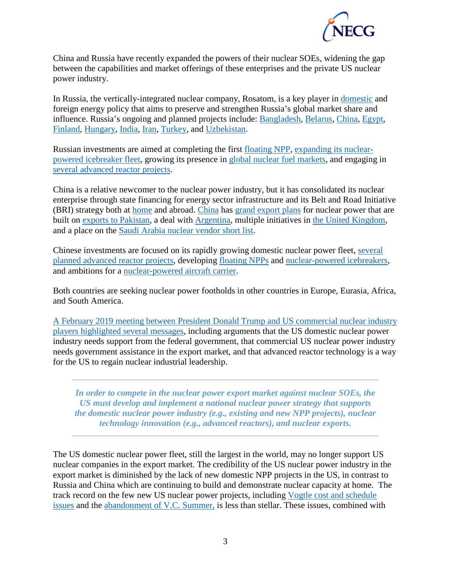

China and Russia have recently expanded the powers of their nuclear SOEs, widening the gap between the capabilities and market offerings of these enterprises and the private US nuclear power industry.

In Russia, the vertically-integrated nuclear company, Rosatom, is a key player in [domestic](http://www.world-nuclear.org/information-library/country-profiles/countries-o-s/russia-nuclear-power.aspx) and foreign energy policy that aims to preserve and strengthen Russia's global market share and influence. Russia's ongoing and planned projects include: [Bangladesh,](https://economictimes.indiatimes.com/news/defence/india-russia-bangladesh-sign-tripartite-pact-for-civil-nuclear-cooperation/articleshow/63127669.cms) [Belarus,](https://www.rferl.org/a/planned-belarusian-nuclear-plant-passes-stress-test-neighboring-lithuania-still-worried/29336314.html) [China,](https://www.rosatom.ru/en/press-centre/news/russia-china-sign-several-major-nuclear-contracts-in-nuclear-sphere-/) [Egypt,](https://www.bloomberg.com/news/articles/2017-12-10/putin-sisi-set-to-finalize-30-billion-nuclear-deal-boost-ties) [Finland,](https://uk.reuters.com/article/uk-finland-nuclear-fennovoima/finnish-russian-nuclear-reactor-pushed-back-to-2028-idUKKCN1OM0B0) [Hungary,](https://www.reuters.com/article/us-russia-hungary-putin-orban-nuclear/russia-to-start-building-two-nuclear-reactors-in-hungary-soon-putin-idUSKCN1LY204) [India,](https://www.reuters.com/article/us-india-russia-nuclear/russia-signs-pact-for-six-nuclear-reactors-on-new-site-in-india-idUSKCN1MF217) [Iran,](https://www.reuters.com/article/us-russia-iran-power-plant/iran-resumes-talks-with-russia-to-build-new-nuclear-power-plant-idUSKCN1LA0F7) [Turkey,](http://www.hurriyetdailynews.com/rosatom-seeks-partners-for-stake-in-akkuyu-plant-141716) and [Uzbekistan.](http://www.world-nuclear-news.org/Articles/Rosatom-official-outlines-Uzbek-project-schedule)

Russian investments are aimed at completing the first [floating NPP,](https://www.maritime-executive.com/editorials/first-reactor-started-on-russia-s-floating-nuclear-plant) [expanding its nuclear](https://thebarentsobserver.com/en/arctic/2019/01/its-law-russian-arctic-shipping-be-regulated-rosatom)[powered icebreaker fleet,](https://thebarentsobserver.com/en/arctic/2019/01/its-law-russian-arctic-shipping-be-regulated-rosatom) growing its presence in [global nuclear fuel markets,](https://www.rosatom.ru/en/rosatom-group/fuel-and-enrichmen/) and engaging in [several advanced reactor projects.](https://neutronbytes.com/2018/01/07/recent-developments-in-advanced-reactors-in-china-russia/)

China is a relative newcomer to the nuclear power industry, but it has consolidated its nuclear enterprise through state financing for energy sector infrastructure and its Belt and Road Initiative (BRI) strategy both at [home](http://www.world-nuclear.org/information-library/country-profiles/countries-a-f/china-nuclear-power.aspx) and abroad. [China](https://gbtimes.com/china-build-30-nuclear-plants-silk-road-countries) has [grand export plans](https://www.eastasiaforum.org/2019/02/21/global-ambitions-fuel-chinas-nuclear-power-strategy/) for nuclear power that are built on [exports to Pakistan,](https://www.scmp.com/news/china/diplomacy-defence/article/2121532/china-build-third-hualong-one-nuclear-reactor-pakistan) a deal with [Argentina,](https://www.scmp.com/news/china/diplomacy/article/3001977/chinese-delegation-set-revive-stalled-argentina-nuclear-power) multiple initiatives in [the United Kingdom,](http://www.world-nuclear-news.org/Articles/CGN-ready-to-ramp-up-UK-ambitions) and a place on the [Saudi Arabia nuclear vendor short list.](https://observer.com/2018/03/china-russia-and-us-bid-to-build-saudi-arabia-nuclear-reactors/)

Chinese investments are focused on its rapidly growing domestic nuclear power fleet, [several](https://www.scmp.com/news/china/science/article/2181396/how-china-hopes-play-leading-role-developing-next-generation)  [planned advanced reactor projects,](https://www.scmp.com/news/china/science/article/2181396/how-china-hopes-play-leading-role-developing-next-generation) developing [floating NPPs](https://www.voanews.com/a/china-s-floating-nuclear-power-plants-risks-south-china-sea/4551979.html) and [nuclear-powered icebreakers,](https://d.docs.live.net/5ae8d6ca1e8099a3/Documents/Energy%20Security%20Projects/China%E2%80%99s%20first%20nuclear-powered%20polar%20icebreaker) and ambitions for a [nuclear-powered aircraft carrier.](http://eng.chinamil.com.cn/view/2018-07/02/content_8072944.htm)

Both countries are seeking nuclear power footholds in other countries in Europe, Eurasia, Africa, and South America.

[A February 2019 meeting between President Donald Trump and US commercial nuclear industry](https://www.bloomberg.com/news/articles/2019-02-12/trump-said-to-meet-with-nuclear-developers-looking-globally)  [players highlighted several messages,](https://www.bloomberg.com/news/articles/2019-02-12/trump-said-to-meet-with-nuclear-developers-looking-globally) including arguments that the US domestic nuclear power industry needs support from the federal government, that commercial US nuclear power industry needs government assistance in the export market, and that advanced reactor technology is a way for the US to regain nuclear industrial leadership.

*In order to compete in the nuclear power export market against nuclear SOEs, the US must develop and implement a national nuclear power strategy that supports the domestic nuclear power industry (e.g., existing and new NPP projects), nuclear technology innovation (e.g., advanced reactors), and nuclear exports.* 

The US domestic nuclear power fleet, still the largest in the world, may no longer support US nuclear companies in the export market. The credibility of the US nuclear power industry in the export market is diminished by the lack of new domestic NPP projects in the US, in contrast to Russia and China which are continuing to build and demonstrate nuclear capacity at home. The track record on the few new US nuclear power projects, including [Vogtle cost and schedule](https://www.eenews.net/stories/1060100025)  [issues](https://www.eenews.net/stories/1060100025) and the [abandonment of V.C. Summer,](https://www.usnews.com/news/best-states/south-carolina/articles/2018-07-28/1-year-after-nuclear-plants-abandoned-fallout-continues) is less than stellar. These issues, combined with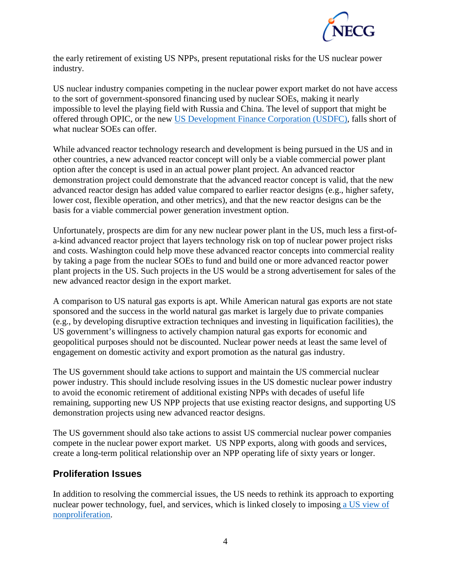

the early retirement of existing US NPPs, present reputational risks for the US nuclear power industry.

US nuclear industry companies competing in the nuclear power export market do not have access to the sort of government-sponsored financing used by nuclear SOEs, making it nearly impossible to level the playing field with Russia and China. The level of support that might be offered through OPIC, or the new [US Development Finance Corporation \(USDFC\),](https://www.opic.gov/build-act/overview) falls short of what nuclear SOEs can offer.

While advanced reactor technology research and development is being pursued in the US and in other countries, a new advanced reactor concept will only be a viable commercial power plant option after the concept is used in an actual power plant project. An advanced reactor demonstration project could demonstrate that the advanced reactor concept is valid, that the new advanced reactor design has added value compared to earlier reactor designs (e.g., higher safety, lower cost, flexible operation, and other metrics), and that the new reactor designs can be the basis for a viable commercial power generation investment option.

Unfortunately, prospects are dim for any new nuclear power plant in the US, much less a first-ofa-kind advanced reactor project that layers technology risk on top of nuclear power project risks and costs. Washington could help move these advanced reactor concepts into commercial reality by taking a page from the nuclear SOEs to fund and build one or more advanced reactor power plant projects in the US. Such projects in the US would be a strong advertisement for sales of the new advanced reactor design in the export market.

A comparison to US natural gas exports is apt. While American natural gas exports are not state sponsored and the success in the world natural gas market is largely due to private companies (e.g., by developing disruptive extraction techniques and investing in liquification facilities), the US government's willingness to actively champion natural gas exports for economic and geopolitical purposes should not be discounted. Nuclear power needs at least the same level of engagement on domestic activity and export promotion as the natural gas industry.

The US government should take actions to support and maintain the US commercial nuclear power industry. This should include resolving issues in the US domestic nuclear power industry to avoid the economic retirement of additional existing NPPs with decades of useful life remaining, supporting new US NPP projects that use existing reactor designs, and supporting US demonstration projects using new advanced reactor designs.

The US government should also take actions to assist US commercial nuclear power companies compete in the nuclear power export market. US NPP exports, along with goods and services, create a long-term political relationship over an NPP operating life of sixty years or longer.

## **Proliferation Issues**

In addition to resolving the commercial issues, the US needs to rethink its approach to exporting nuclear power technology, fuel, and services, which is linked closely to imposing [a US view of](https://warontherocks.com/2018/02/geostrategic-nuclear-exports-competition-influence-saudi-arabia/)  [nonproliferation.](https://warontherocks.com/2018/02/geostrategic-nuclear-exports-competition-influence-saudi-arabia/)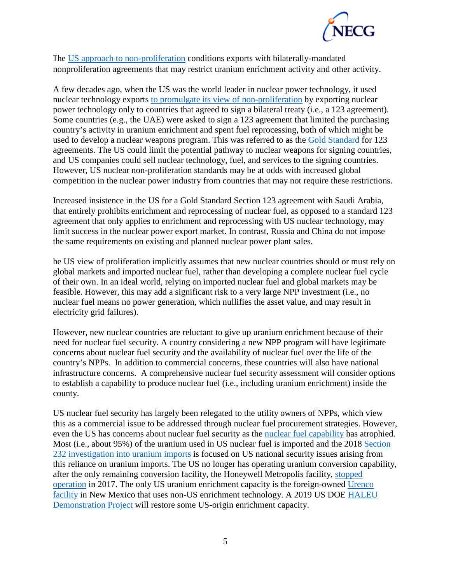

The US [approach to non-proliferation](https://www.export.gov/industries/civil-nuclear/exporting-guide/123-agreements) conditions exports with bilaterally-mandated nonproliferation agreements that may restrict uranium enrichment activity and other activity.

A few decades ago, when the US was the world leader in nuclear power technology, it used nuclear technology exports [to promulgate its view of non-proliferation](https://warontherocks.com/2018/02/geostrategic-nuclear-exports-competition-influence-saudi-arabia/) by exporting nuclear power technology only to countries that agreed to sign a bilateral treaty (i.e., a 123 agreement). Some countries (e.g., the UAE) were asked to sign a 123 agreement that limited the purchasing country's activity in uranium enrichment and spent fuel reprocessing, both of which might be used to develop a nuclear weapons program. This was referred to as the [Gold Standard](https://armscontrolcenter.org/civil-nuclear-cooperation-agreements/) for 123 agreements. The US could limit the potential pathway to nuclear weapons for signing countries, and US companies could sell nuclear technology, fuel, and services to the signing countries. However, US nuclear non-proliferation standards may be at odds with increased global competition in the nuclear power industry from countries that may not require these restrictions.

Increased insistence in the US for a Gold Standard Section 123 agreement with Saudi Arabia, that entirely prohibits enrichment and reprocessing of nuclear fuel, as opposed to a standard 123 agreement that only applies to enrichment and reprocessing with US nuclear technology, may limit success in the nuclear power export market. In contrast, Russia and China do not impose the same requirements on existing and planned nuclear power plant sales.

he US view of proliferation implicitly assumes that new nuclear countries should or must rely on global markets and imported nuclear fuel, rather than developing a complete nuclear fuel cycle of their own. In an ideal world, relying on imported nuclear fuel and global markets may be feasible. However, this may add a significant risk to a very large NPP investment (i.e., no nuclear fuel means no power generation, which nullifies the asset value, and may result in electricity grid failures).

However, new nuclear countries are reluctant to give up uranium enrichment because of their need for nuclear fuel security. A country considering a new NPP program will have legitimate concerns about nuclear fuel security and the availability of nuclear fuel over the life of the country's NPPs. In addition to commercial concerns, these countries will also have national infrastructure concerns. A comprehensive nuclear fuel security assessment will consider options to establish a capability to produce nuclear fuel (i.e., including uranium enrichment) inside the county.

US nuclear fuel security has largely been relegated to the utility owners of NPPs, which view this as a commercial issue to be addressed through nuclear fuel procurement strategies. However, even the US has concerns about nuclear fuel security as the [nuclear fuel capability](https://www.eia.gov/todayinenergy/detail.php?id=12731) has atrophied. Most (i.e., about 95%) of the uranium used in US nuclear fuel is imported and the 2018 [Section](https://www.commerce.gov/news/press-releases/2018/07/us-department-commerce-initiates-section-232-investigation-uranium)  [232 investigation into uranium imports](https://www.commerce.gov/news/press-releases/2018/07/us-department-commerce-initiates-section-232-investigation-uranium) is focused on US national security issues arising from this reliance on uranium imports. The US no longer has operating uranium conversion capability, after the only remaining conversion facility, the Honeywell Metropolis facility, [stopped](http://www.world-nuclear-news.org/UF-US-conversion-plant-suspends-UF6-production-2111177.html)  [operation](http://www.world-nuclear-news.org/UF-US-conversion-plant-suspends-UF6-production-2111177.html) in 2017. The only US uranium enrichment capacity is the foreign-owned [Urenco](https://urenco.com/global-operations/uusa)  [facility](https://urenco.com/global-operations/uusa) in New Mexico that uses non-US enrichment technology. A 2019 US DOE [HALEU](http://www.world-nuclear-news.org/Articles/Centrus-seleced-for-HALEU-enrichment-project)  [Demonstration Project](http://www.world-nuclear-news.org/Articles/Centrus-seleced-for-HALEU-enrichment-project) will restore some US-origin enrichment capacity.